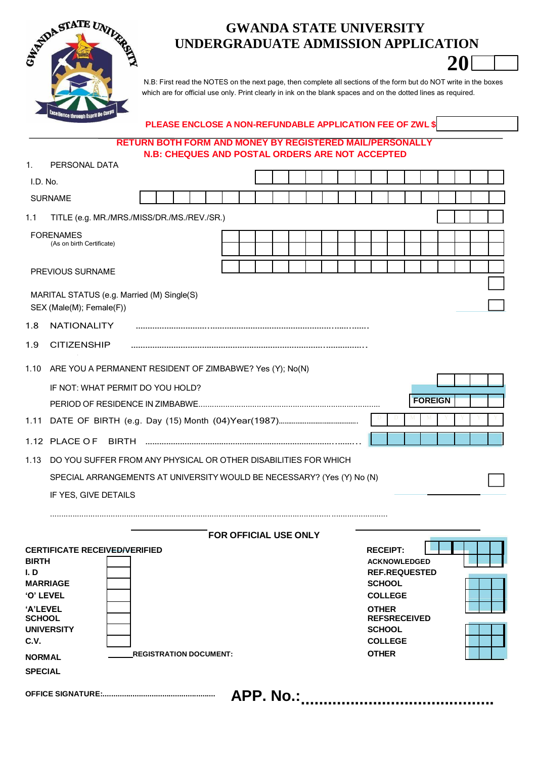

# **GWANDA STATE UNIVERSITY UNDERGRADUATE ADMISSION APPLICATION**

**20**

N.B: First read the NOTES on the next page, then complete all sections of the form but do NOT write in the boxes which are for official use only. Print clearly in ink on the blank spaces and on the dotted lines as required.

# **PLEASE ENCLOSE A NON-REFUNDABLE APPLICATION FEE OF ZWL \$**

## **RETURN BOTH FORM AND MONEY BY REGISTERED MAIL/PERSONALLY N.B: CHEQUES AND POSTAL ORDERS ARE NOT ACCEPTED**

| $\mathbf{1}$ .                                                                                            | PERSONAL DATA                                                                |                               |  |  |  |                              |  |  |           |                              |                                                                                                                                                             |                |  |  |
|-----------------------------------------------------------------------------------------------------------|------------------------------------------------------------------------------|-------------------------------|--|--|--|------------------------------|--|--|-----------|------------------------------|-------------------------------------------------------------------------------------------------------------------------------------------------------------|----------------|--|--|
| I.D. No.                                                                                                  |                                                                              |                               |  |  |  |                              |  |  |           |                              |                                                                                                                                                             |                |  |  |
|                                                                                                           | <b>SURNAME</b>                                                               |                               |  |  |  |                              |  |  |           |                              |                                                                                                                                                             |                |  |  |
| 1.1                                                                                                       | TITLE (e.g. MR./MRS./MISS/DR./MS./REV./SR.)                                  |                               |  |  |  |                              |  |  |           |                              |                                                                                                                                                             |                |  |  |
|                                                                                                           | <b>FORENAMES</b><br>(As on birth Certificate)                                |                               |  |  |  |                              |  |  |           |                              |                                                                                                                                                             |                |  |  |
|                                                                                                           | PREVIOUS SURNAME                                                             |                               |  |  |  |                              |  |  |           |                              |                                                                                                                                                             |                |  |  |
|                                                                                                           | MARITAL STATUS (e.g. Married (M) Single(S)<br>SEX (Male(M); Female(F))       |                               |  |  |  |                              |  |  |           |                              |                                                                                                                                                             |                |  |  |
| 1.8                                                                                                       | NATIONALITY                                                                  |                               |  |  |  |                              |  |  |           |                              |                                                                                                                                                             |                |  |  |
| 1.9                                                                                                       | <b>CITIZENSHIP</b>                                                           |                               |  |  |  |                              |  |  |           |                              |                                                                                                                                                             |                |  |  |
| 1.10                                                                                                      | ARE YOU A PERMANENT RESIDENT OF ZIMBABWE? Yes (Y); No(N)                     |                               |  |  |  |                              |  |  |           |                              |                                                                                                                                                             |                |  |  |
|                                                                                                           | IF NOT: WHAT PERMIT DO YOU HOLD?                                             |                               |  |  |  |                              |  |  |           |                              |                                                                                                                                                             |                |  |  |
|                                                                                                           |                                                                              |                               |  |  |  |                              |  |  |           |                              |                                                                                                                                                             | <b>FOREIGN</b> |  |  |
| 1.11                                                                                                      |                                                                              |                               |  |  |  |                              |  |  |           |                              |                                                                                                                                                             |                |  |  |
|                                                                                                           |                                                                              |                               |  |  |  |                              |  |  |           |                              |                                                                                                                                                             |                |  |  |
| 1.13                                                                                                      | DO YOU SUFFER FROM ANY PHYSICAL OR OTHER DISABILITIES FOR WHICH              |                               |  |  |  |                              |  |  |           |                              |                                                                                                                                                             |                |  |  |
|                                                                                                           | SPECIAL ARRANGEMENTS AT UNIVERSITY WOULD BE NECESSARY? (Yes (Y) No (N)       |                               |  |  |  |                              |  |  |           |                              |                                                                                                                                                             |                |  |  |
|                                                                                                           | IF YES, GIVE DETAILS                                                         |                               |  |  |  |                              |  |  |           |                              |                                                                                                                                                             |                |  |  |
|                                                                                                           |                                                                              |                               |  |  |  |                              |  |  |           |                              |                                                                                                                                                             |                |  |  |
|                                                                                                           |                                                                              |                               |  |  |  | <b>FOR OFFICIAL USE ONLY</b> |  |  |           |                              |                                                                                                                                                             |                |  |  |
| <b>BIRTH</b><br>I. D<br>'O' LEVEL<br>'A'LEVEL<br><b>SCHOOL</b><br>C.V.<br><b>NORMAL</b><br><b>SPECIAL</b> | <b>CERTIFICATE RECEIVED/VERIFIED</b><br><b>MARRIAGE</b><br><b>UNIVERSITY</b> | <b>REGISTRATION DOCUMENT:</b> |  |  |  |                              |  |  |           | <b>OTHER</b><br><b>OTHER</b> | <b>RECEIPT:</b><br><b>ACKNOWLEDGED</b><br><b>REF.REQUESTED</b><br><b>SCHOOL</b><br><b>COLLEGE</b><br><b>REFSRECEIVED</b><br><b>SCHOOL</b><br><b>COLLEGE</b> |                |  |  |
|                                                                                                           |                                                                              |                               |  |  |  |                              |  |  | APP. No.: |                              |                                                                                                                                                             |                |  |  |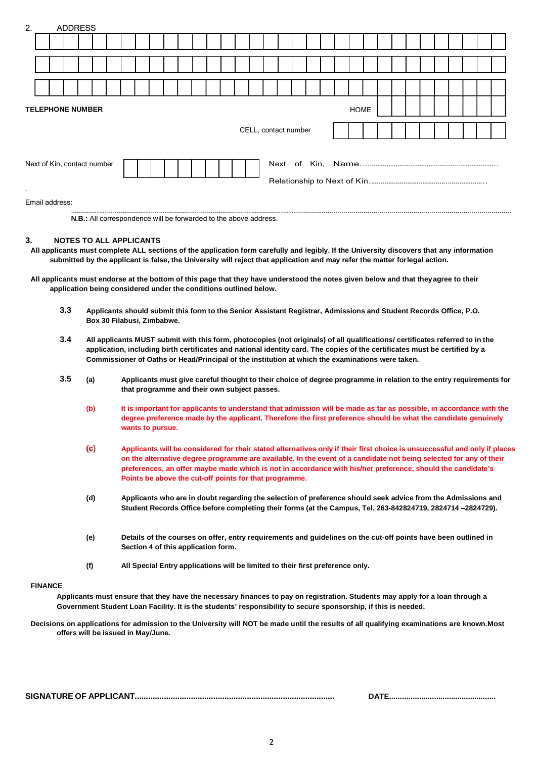| 2.                                       |  | <b>ADDRESS</b> |  |  |                                                                  |  |  |  |                      |  |  |             |  |  |  |  |  |
|------------------------------------------|--|----------------|--|--|------------------------------------------------------------------|--|--|--|----------------------|--|--|-------------|--|--|--|--|--|
|                                          |  |                |  |  |                                                                  |  |  |  |                      |  |  |             |  |  |  |  |  |
|                                          |  |                |  |  |                                                                  |  |  |  |                      |  |  |             |  |  |  |  |  |
|                                          |  |                |  |  |                                                                  |  |  |  |                      |  |  |             |  |  |  |  |  |
| <b>TELEPHONE NUMBER</b>                  |  |                |  |  |                                                                  |  |  |  |                      |  |  | <b>HOME</b> |  |  |  |  |  |
|                                          |  |                |  |  |                                                                  |  |  |  | CELL, contact number |  |  |             |  |  |  |  |  |
| Next of Kin, contact number<br>$\bullet$ |  |                |  |  |                                                                  |  |  |  |                      |  |  |             |  |  |  |  |  |
| Email address:                           |  |                |  |  |                                                                  |  |  |  |                      |  |  |             |  |  |  |  |  |
|                                          |  |                |  |  | N.B.: All correspondence will be forwarded to the above address. |  |  |  |                      |  |  |             |  |  |  |  |  |

#### **3. NOTES TO ALL APPLICANTS**

- **All applicants must complete ALL sections of the application form carefully and legibly. If the University discovers that any information submitted by the applicant is false, the University will reject that application and may refer the matter forlegal action.**
- **All applicants must endorse at the bottom of this page that they have understood the notes given below and that theyagree to their application being considered under the conditions outlined below.**
	- 3.3 Applicants should submit this form to the Senior Assistant Registrar, Admissions and Student Records Office, P.O. **Box 30 Filabusi, Zimbabwe.**
	- 3.4 All applicants MUST submit with this form, photocopies (not originals) of all qualifications/ certificates referred to in the application, including birth certificates and national identity card. The copies of the certificates must be certified by a **Commissioner of Oaths or Head/Principal of the institution at which the examinations were taken.**
	- 3.5 (a) Applicants must give careful thought to their choice of degree programme in relation to the entry requirements for **that programme and their own subject passes.**
		- (b) It is important for applicants to understand that admission will be made as far as possible, in accordance with the **degree preference made by the applicant. Therefore the first preference should be what the candidate genuinely wants to pursue.**
		- $(c)$ **Applicants will be considered for their stated alternatives only if their first choice is unsuccessful and only if places on the alternative degree programme are available. In the event of a candidate not being selected for any of their preferences, an offer maybe made which is not in accordance with his/her preference, should the candidate's Points be above the cut-off points for that programme.**
		- (d) Applicants who are in doubt regarding the selection of preference should seek advice from the Admissions and **Student Records Office before completing their forms (at the Campus, Tel. 263-842824719, 2824714 –2824729).**
		- (e) Details of the courses on offer, entry requirements and guidelines on the cut-off points have been outlined in **Section 4 of this application form.**
		- **(f) All Special Entry applications will be limited to their first preference only.**

#### **FINANCE**

**Applicants must ensure that they have the necessary finances to pay on registration. Students may apply for a loan through a Government Student Loan Facility. It is the students' responsibility to secure sponsorship, if this is needed.**

**Decisions on applications for admission to the University will NOT be made until the results of all qualifying examinations are known.Most offers will be issued in May/June.**

|--|--|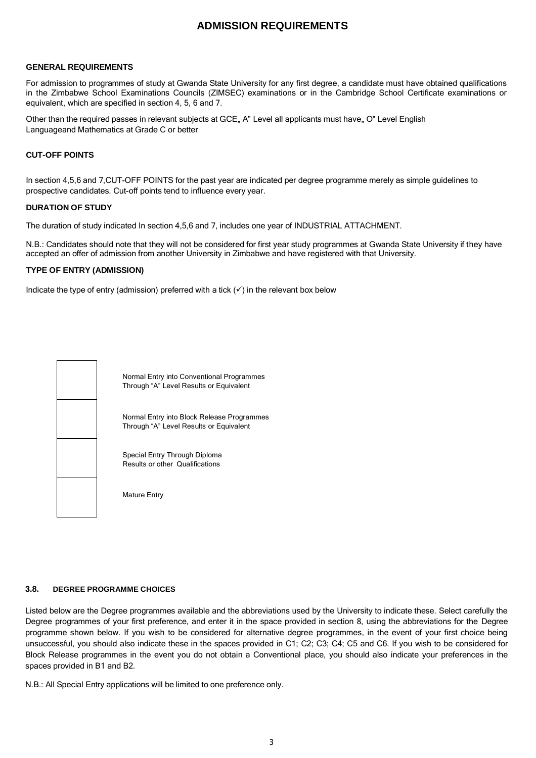# **ADMISSION REQUIREMENTS**

### **GENERAL REQUIREMENTS**

For admission to programmes of study at Gwanda State University for any first degree, a candidate must have obtained qualifications in the Zimbabwe School Examinations Councils (ZIMSEC) examinations or in the Cambridge School Certificate examinations or equivalent, which are specified in section 4, 5, 6 and 7.

Other than the required passes in relevant subjects at GCE, A" Level all applicants must have, O" Level English Languageand Mathematics at Grade C or better

### **CUT-OFF POINTS**

In section 4,5,6 and 7,CUT-OFF POINTS for the past year are indicated per degree programme merely as simple guidelines to prospective candidates. Cut-off points tend to influence every year.

#### **DURATION OF STUDY**

The duration of study indicated In section 4,5,6 and 7, includes one year of INDUSTRIAL ATTACHMENT.

N.B.: Candidates should note that they will not be considered for first year study programmes at Gwanda State University if they have accepted an offer of admission from another University in Zimbabwe and have registered with that University.

#### **TYPE OF ENTRY (ADMISSION)**

Indicate the type of entry (admission) preferred with a tick  $(\checkmark)$  in the relevant box below



Normal Entry into Conventional Programmes Through "A" Level Results or Equivalent

Normal Entry into Block Release Programmes Through "A" Level Results or Equivalent

Special Entry Through Diploma Results or other Qualifications

Mature Entry

#### **3.8. DEGREE PROGRAMME CHOICES**

Listed below are the Degree programmes available and the abbreviations used by the University to indicate these. Select carefully the Degree programmes of your first preference, and enter it in the space provided in section 8, using the abbreviations for the Degree programme shown below. If you wish to be considered for alternative degree programmes, in the event of your first choice being unsuccessful, you should also indicate these in the spaces provided in C1; C2; C3; C4; C5 and C6. If you wish to be considered for Block Release programmes in the event you do not obtain a Conventional place, you should also indicate your preferences in the spaces provided in B1 and B2.

N.B.: All Special Entry applications will be limited to one preference only.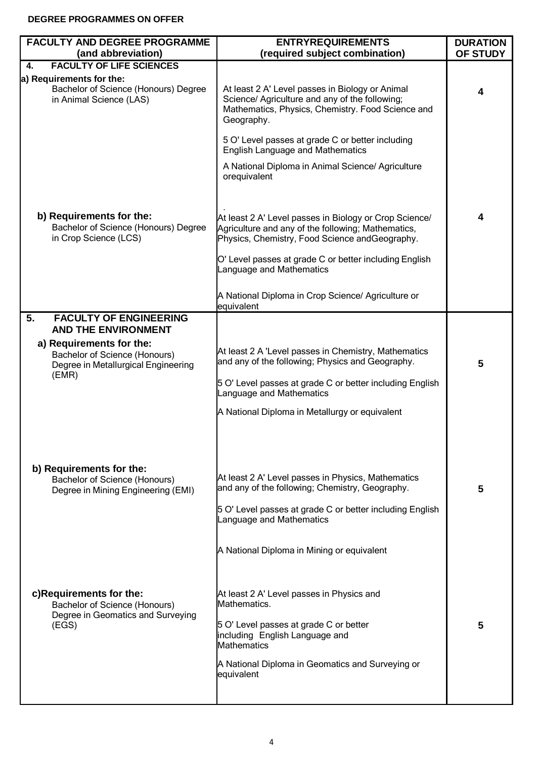# **DEGREE PROGRAMMES ON OFFER**

| <b>FACULTY AND DEGREE PROGRAMME</b><br>(and abbreviation)                                                                                      | <b>ENTRYREQUIREMENTS</b><br>(required subject combination)                                                                                                                                                                                         | <b>DURATION</b><br>OF STUDY |
|------------------------------------------------------------------------------------------------------------------------------------------------|----------------------------------------------------------------------------------------------------------------------------------------------------------------------------------------------------------------------------------------------------|-----------------------------|
| <b>FACULTY OF LIFE SCIENCES</b><br>4.                                                                                                          |                                                                                                                                                                                                                                                    |                             |
| a) Requirements for the:<br>Bachelor of Science (Honours) Degree<br>in Animal Science (LAS)                                                    | At least 2 A' Level passes in Biology or Animal<br>Science/ Agriculture and any of the following;<br>Mathematics, Physics, Chemistry. Food Science and<br>Geography.                                                                               | 4                           |
|                                                                                                                                                | 5 O' Level passes at grade C or better including<br><b>English Language and Mathematics</b><br>A National Diploma in Animal Science/ Agriculture<br>orequivalent                                                                                   |                             |
| b) Requirements for the:<br>Bachelor of Science (Honours) Degree<br>in Crop Science (LCS)                                                      | At least 2 A' Level passes in Biology or Crop Science/<br>Agriculture and any of the following; Mathematics,<br>Physics, Chemistry, Food Science and Geography.                                                                                    | 4                           |
|                                                                                                                                                | O' Level passes at grade C or better including English<br>Language and Mathematics<br>A National Diploma in Crop Science/ Agriculture or                                                                                                           |                             |
|                                                                                                                                                | equivalent                                                                                                                                                                                                                                         |                             |
| 5.<br><b>FACULTY OF ENGINEERING</b>                                                                                                            |                                                                                                                                                                                                                                                    |                             |
| <b>AND THE ENVIRONMENT</b><br>a) Requirements for the:<br><b>Bachelor of Science (Honours)</b><br>Degree in Metallurgical Engineering<br>(EMR) | At least 2 A 'Level passes in Chemistry, Mathematics<br>and any of the following; Physics and Geography.<br>5 O' Level passes at grade C or better including English<br>Language and Mathematics<br>A National Diploma in Metallurgy or equivalent | 5                           |
| b) Requirements for the:<br>Bachelor of Science (Honours)<br>Degree in Mining Engineering (EMI)                                                | At least 2 A' Level passes in Physics, Mathematics<br>and any of the following; Chemistry, Geography.<br>5 O' Level passes at grade C or better including English<br>Language and Mathematics<br>A National Diploma in Mining or equivalent        | 5                           |
| c)Requirements for the:<br>Bachelor of Science (Honours)<br>Degree in Geomatics and Surveying<br>(EGS)                                         | At least 2 A' Level passes in Physics and<br>Mathematics.<br>5 O' Level passes at grade C or better<br>including English Language and<br><b>Mathematics</b><br>A National Diploma in Geomatics and Surveying or<br>equivalent                      | 5                           |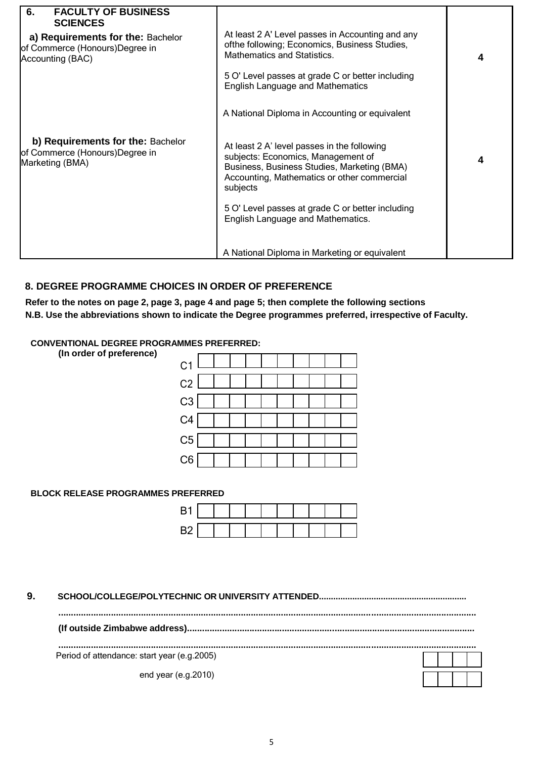| <b>FACULTY OF BUSINESS</b><br>6.<br><b>SCIENCES</b><br>a) Requirements for the: Bachelor<br>of Commerce (Honours)Degree in<br>Accounting (BAC) | At least 2 A' Level passes in Accounting and any<br>ofthe following; Economics, Business Studies,<br><b>Mathematics and Statistics.</b><br>5 O' Level passes at grade C or better including<br><b>English Language and Mathematics</b>                                               | 4 |
|------------------------------------------------------------------------------------------------------------------------------------------------|--------------------------------------------------------------------------------------------------------------------------------------------------------------------------------------------------------------------------------------------------------------------------------------|---|
|                                                                                                                                                | A National Diploma in Accounting or equivalent                                                                                                                                                                                                                                       |   |
| b) Requirements for the: Bachelor<br>of Commerce (Honours)Degree in<br>Marketing (BMA)                                                         | At least 2 A' level passes in the following<br>subjects: Economics, Management of<br>Business, Business Studies, Marketing (BMA)<br>Accounting, Mathematics or other commercial<br>subjects<br>5 O' Level passes at grade C or better including<br>English Language and Mathematics. | 4 |
|                                                                                                                                                | A National Diploma in Marketing or equivalent                                                                                                                                                                                                                                        |   |

# **8. DEGREE PROGRAMME CHOICES IN ORDER OF PREFERENCE**

**Refer to the notes on page 2, page 3, page 4 and page 5; then complete the following sections N.B. Use the abbreviations shown to indicate the Degree programmes preferred, irrespective of Faculty.**

|  | <b>CONVENTIONAL DEGREE PROGRAMMES PREFERRED:</b> |  |  |  |  |
|--|--------------------------------------------------|--|--|--|--|
|--|--------------------------------------------------|--|--|--|--|

| (In order of preference) |                |
|--------------------------|----------------|
|                          | C <sub>1</sub> |
|                          | C <sub>2</sub> |
|                          | C3             |
|                          | C <sub>4</sub> |
|                          | C5             |
|                          | C6             |

### **BLOCK RELEASE PROGRAMMES PREFERRED**

**9. SCHOOL/COLLEGE/POLYTECHNIC OR UNIVERSITY ATTENDED..............................................................**

**.......................................................................................................................................................................**

**(If outside Zimbabwe address)...................................................................................................................**

**.......................................................................................................................................................................** Period of attendance: start year (e.g.2005)

end year (e.g.2010)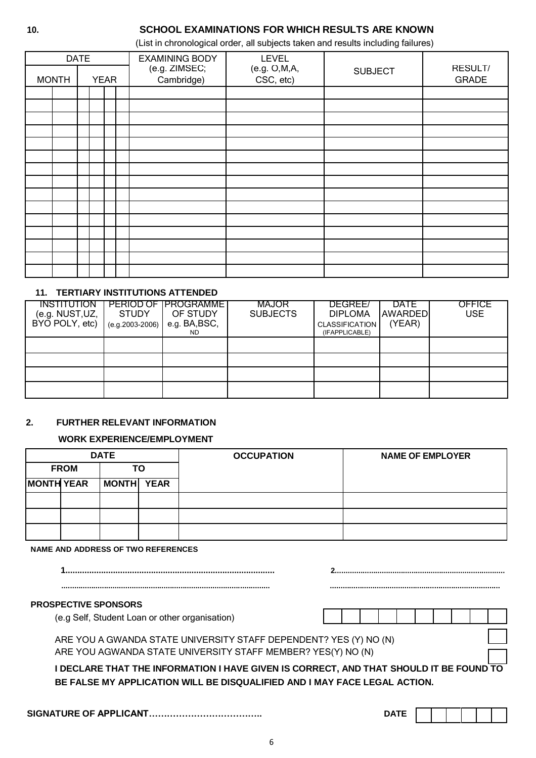# **10. SCHOOL EXAMINATIONS FOR WHICH RESULTS ARE KNOWN**

(List in chronological order, all subjects taken and results including failures)

| <b>DATE</b>  |             |  | <b>EXAMINING BODY</b>       | <b>LEVEL</b>                |                |                         |
|--------------|-------------|--|-----------------------------|-----------------------------|----------------|-------------------------|
| <b>MONTH</b> | <b>YEAR</b> |  | (e.g. ZIMSEC;<br>Cambridge) | (e.g. O, M, A,<br>CSC, etc) | <b>SUBJECT</b> | RESULT/<br><b>GRADE</b> |
|              |             |  |                             |                             |                |                         |
|              |             |  |                             |                             |                |                         |
|              |             |  |                             |                             |                |                         |
|              |             |  |                             |                             |                |                         |
|              |             |  |                             |                             |                |                         |
|              |             |  |                             |                             |                |                         |
|              |             |  |                             |                             |                |                         |
|              |             |  |                             |                             |                |                         |
|              |             |  |                             |                             |                |                         |
|              |             |  |                             |                             |                |                         |
|              |             |  |                             |                             |                |                         |
|              |             |  |                             |                             |                |                         |
|              |             |  |                             |                             |                |                         |
|              |             |  |                             |                             |                |                         |
|              |             |  |                             |                             |                |                         |

### **11. TERTIARY INSTITUTIONS ATTENDED**

| <b>INSTITUTION</b><br>(e.g. NUST, UZ,<br>BYO POLY, etc) | <b>STUDY</b><br>$(e.g. 2003 - 2006)$ | PERIOD OF IPROGRAMMET<br>OF STUDY<br>e.g. BA,BSC,<br>ND. | <b>MAJOR</b><br><b>SUBJECTS</b> | DEGREE/<br><b>DIPLOMA</b><br><b>CLASSIFICATION</b><br>(IFAPPLICABLE) | <b>DATE</b><br><b>AWARDED</b><br>(YEAR) | OFFICE<br><b>USE</b> |
|---------------------------------------------------------|--------------------------------------|----------------------------------------------------------|---------------------------------|----------------------------------------------------------------------|-----------------------------------------|----------------------|
|                                                         |                                      |                                                          |                                 |                                                                      |                                         |                      |
|                                                         |                                      |                                                          |                                 |                                                                      |                                         |                      |
|                                                         |                                      |                                                          |                                 |                                                                      |                                         |                      |
|                                                         |                                      |                                                          |                                 |                                                                      |                                         |                      |

### **2. FURTHER RELEVANT INFORMATION**

### **WORK EXPERIENCE/EMPLOYMENT**

|                   |  | <b>DATE</b> |    | <b>OCCUPATION</b> | <b>NAME OF EMPLOYER</b> |  |  |
|-------------------|--|-------------|----|-------------------|-------------------------|--|--|
| <b>FROM</b>       |  |             | ТΟ |                   |                         |  |  |
| <b>MONTH YEAR</b> |  | MONTH YEAR  |    |                   |                         |  |  |
|                   |  |             |    |                   |                         |  |  |
|                   |  |             |    |                   |                         |  |  |
|                   |  |             |    |                   |                         |  |  |

**NAME AND ADDRESS OF TWO REFERENCES**

| <b>PROSPECTIVE SPONSORS</b>                                                                                                                                         |  |  |  |  |  |
|---------------------------------------------------------------------------------------------------------------------------------------------------------------------|--|--|--|--|--|
| (e.g Self, Student Loan or other organisation)                                                                                                                      |  |  |  |  |  |
| ARE YOU A GWANDA STATE UNIVERSITY STAFF DEPENDENT? YES (Y) NO (N)                                                                                                   |  |  |  |  |  |
| ARE YOU AGWANDA STATE UNIVERSITY STAFF MEMBER? YES(Y) NO (N)                                                                                                        |  |  |  |  |  |
| I DECLARE THAT THE INFORMATION I HAVE GIVEN IS CORRECT, AND THAT SHOULD IT BE FOUND TO<br>BE FALSE MY APPLICATION WILL BE DISQUALIFIED AND I MAY FACE LEGAL ACTION. |  |  |  |  |  |

**SIGNATURE OF APPLICANT……………………………….. DATE**

|--|